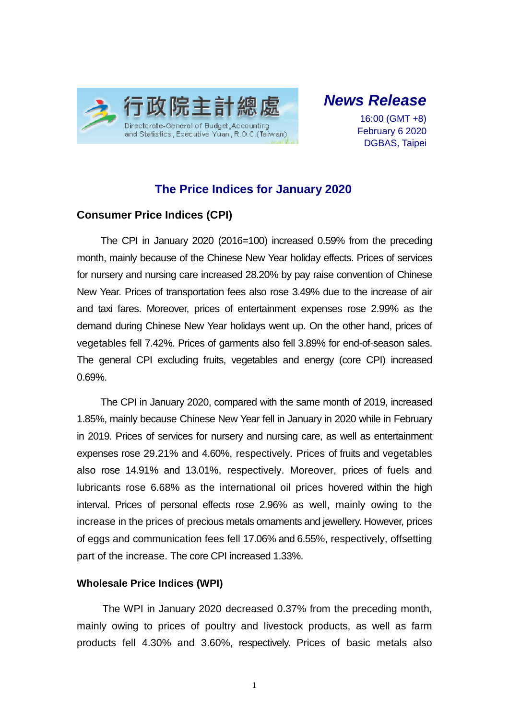

# *News Release*

16:00 (GMT +8) February 6 2020 DGBAS, Taipei

# **The Price Indices for January 2020**

## **Consumer Price Indices (CPI)**

The CPI in January 2020 (2016=100) increased 0.59% from the preceding month, mainly because of the Chinese New Year holiday effects. Prices of services for nursery and nursing care increased 28.20% by pay raise convention of Chinese New Year. Prices of transportation fees also rose 3.49% due to the increase of air and taxi fares. Moreover, prices of entertainment expenses rose 2.99% as the demand during Chinese New Year holidays went up. On the other hand, prices of vegetables fell 7.42%. Prices of garments also fell 3.89% for end-of-season sales. The general CPI excluding fruits, vegetables and energy (core CPI) increased 0.69%.

The CPI in January 2020, compared with the same month of 2019, increased 1.85%, mainly because Chinese New Year fell in January in 2020 while in February in 2019. Prices of services for nursery and nursing care, as well as entertainment expenses rose 29.21% and 4.60%, respectively. Prices of fruits and vegetables also rose 14.91% and 13.01%, respectively. Moreover, prices of fuels and lubricants rose 6.68% as the international oil prices hovered within the high interval. Prices of personal effects rose 2.96% as well, mainly owing to the increase in the prices of precious metals ornaments and jewellery. However, prices of eggs and communication fees fell 17.06% and 6.55%, respectively, offsetting part of the increase. The core CPI increased 1.33%.

### **Wholesale Price Indices (WPI)**

The WPI in January 2020 decreased 0.37% from the preceding month, mainly owing to prices of poultry and livestock products, as well as farm products fell 4.30% and 3.60%, respectively. Prices of basic metals also